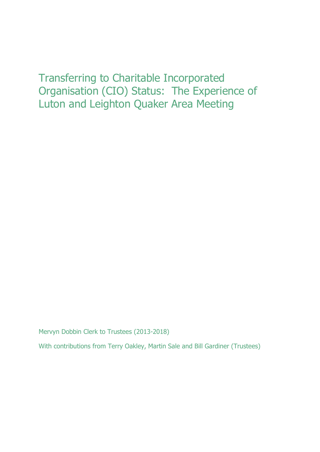# Transferring to Charitable Incorporated Organisation (CIO) Status: The Experience of Luton and Leighton Quaker Area Meeting

Mervyn Dobbin Clerk to Trustees (2013-2018)

With contributions from Terry Oakley, Martin Sale and Bill Gardiner (Trustees)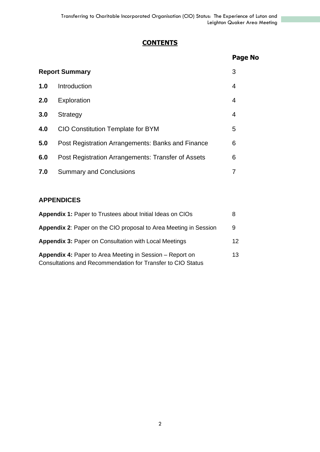# **CONTENTS**

|                       |                                                    | Page No |
|-----------------------|----------------------------------------------------|---------|
| <b>Report Summary</b> |                                                    | 3       |
| 1.0                   | Introduction                                       | 4       |
| 2.0                   | Exploration                                        | 4       |
| 3.0                   | Strategy                                           | 4       |
| 4.0                   | <b>CIO Constitution Template for BYM</b>           | 5       |
| 5.0                   | Post Registration Arrangements: Banks and Finance  | 6       |
| 6.0                   | Post Registration Arrangements: Transfer of Assets | 6       |
| 7.0                   | <b>Summary and Conclusions</b>                     | 7       |

# **APPENDICES**

| <b>Appendix 1: Paper to Trustees about Initial Ideas on CIOs</b>                                                               | 8  |
|--------------------------------------------------------------------------------------------------------------------------------|----|
| <b>Appendix 2:</b> Paper on the CIO proposal to Area Meeting in Session                                                        | 9  |
| <b>Appendix 3: Paper on Consultation with Local Meetings</b>                                                                   | 12 |
| <b>Appendix 4: Paper to Area Meeting in Session – Report on</b><br>Consultations and Recommendation for Transfer to CIO Status | 13 |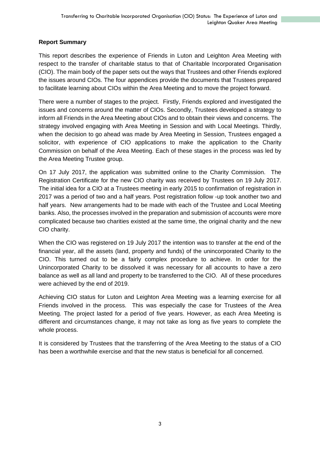# **Report Summary**

This report describes the experience of Friends in Luton and Leighton Area Meeting with respect to the transfer of charitable status to that of Charitable Incorporated Organisation (CIO). The main body of the paper sets out the ways that Trustees and other Friends explored the issues around CIOs. The four appendices provide the documents that Trustees prepared to facilitate learning about CIOs within the Area Meeting and to move the project forward.

There were a number of stages to the project. Firstly, Friends explored and investigated the issues and concerns around the matter of CIOs. Secondly, Trustees developed a strategy to inform all Friends in the Area Meeting about CIOs and to obtain their views and concerns. The strategy involved engaging with Area Meeting in Session and with Local Meetings. Thirdly, when the decision to go ahead was made by Area Meeting in Session, Trustees engaged a solicitor, with experience of CIO applications to make the application to the Charity Commission on behalf of the Area Meeting. Each of these stages in the process was led by the Area Meeting Trustee group.

On 17 July 2017, the application was submitted online to the Charity Commission. The Registration Certificate for the new CIO charity was received by Trustees on 19 July 2017. The initial idea for a CIO at a Trustees meeting in early 2015 to confirmation of registration in 2017 was a period of two and a half years. Post registration follow -up took another two and half years. New arrangements had to be made with each of the Trustee and Local Meeting banks. Also, the processes involved in the preparation and submission of accounts were more complicated because two charities existed at the same time, the original charity and the new CIO charity.

When the CIO was registered on 19 July 2017 the intention was to transfer at the end of the financial year, all the assets (land, property and funds) of the unincorporated Charity to the CIO. This turned out to be a fairly complex procedure to achieve. In order for the Unincorporated Charity to be dissolved it was necessary for all accounts to have a zero balance as well as all land and property to be transferred to the CIO. All of these procedures were achieved by the end of 2019.

Achieving CIO status for Luton and Leighton Area Meeting was a learning exercise for all Friends involved in the process. This was especially the case for Trustees of the Area Meeting. The project lasted for a period of five years. However, as each Area Meeting is different and circumstances change, it may not take as long as five years to complete the whole process.

It is considered by Trustees that the transferring of the Area Meeting to the status of a CIO has been a worthwhile exercise and that the new status is beneficial for all concerned.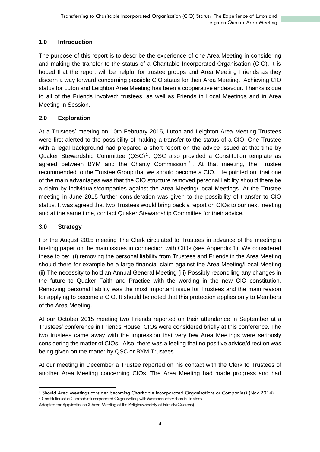# **1.0 Introduction**

The purpose of this report is to describe the experience of one Area Meeting in considering and making the transfer to the status of a Charitable Incorporated Organisation (CIO). It is hoped that the report will be helpful for trustee groups and Area Meeting Friends as they discern a way forward concerning possible CIO status for their Area Meeting. Achieving CIO status for Luton and Leighton Area Meeting has been a cooperative endeavour. Thanks is due to all of the Friends involved: trustees, as well as Friends in Local Meetings and in Area Meeting in Session.

# **2.0 Exploration**

At a Trustees' meeting on 10th February 2015, Luton and Leighton Area Meeting Trustees were first alerted to the possibility of making a transfer to the status of a CIO. One Trustee with a legal background had prepared a short report on the advice issued at that time by Quaker Stewardship Committee (QSC)<sup>1</sup>. QSC also provided a Constitution template as agreed between BYM and the Charity Commission<sup>2</sup>. At that meeting, the Trustee recommended to the Trustee Group that we should become a CIO. He pointed out that one of the main advantages was that the CIO structure removed personal liability should there be a claim by individuals/companies against the Area Meeting/Local Meetings. At the Trustee meeting in June 2015 further consideration was given to the possibility of transfer to CIO status. It was agreed that two Trustees would bring back a report on CIOs to our next meeting and at the same time, contact Quaker Stewardship Committee for their advice.

# **3.0 Strategy**

For the August 2015 meeting The Clerk circulated to Trustees in advance of the meeting a briefing paper on the main issues in connection with CIOs (see Appendix 1). We considered these to be: (i) removing the personal liability from Trustees and Friends in the Area Meeting should there for example be a large financial claim against the Area Meeting/Local Meeting (ii) The necessity to hold an Annual General Meeting (iii) Possibly reconciling any changes in the future to Quaker Faith and Practice with the wording in the new CIO constitution. Removing personal liability was the most important issue for Trustees and the main reason for applying to become a CIO. It should be noted that this protection applies only to Members of the Area Meeting.

At our October 2015 meeting two Friends reported on their attendance in September at a Trustees' conference in Friends House. CIOs were considered briefly at this conference. The two trustees came away with the impression that very few Area Meetings were seriously considering the matter of CIOs. Also, there was a feeling that no positive advice/direction was being given on the matter by QSC or BYM Trustees.

At our meeting in December a Trustee reported on his contact with the Clerk to Trustees of another Area Meeting concerning CIOs. The Area Meeting had made progress and had

<sup>1</sup> Should Area Meetings consider becoming Charitable Incorporated Organisations or Companies? (Nov 2014)

<sup>&</sup>lt;sup>2</sup> Constitution of a Charitable Incorporated Organisation, with Members other than its Trustees

Adapted for Application to X Area Meeting of the Religious Society of Friends (Quakers)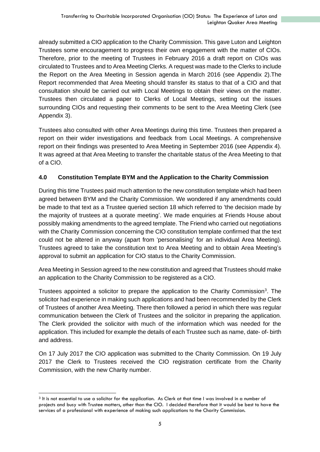already submitted a CIO application to the Charity Commission. This gave Luton and Leighton Trustees some encouragement to progress their own engagement with the matter of CIOs. Therefore, prior to the meeting of Trustees in February 2016 a draft report on CIOs was circulated to Trustees and to Area Meeting Clerks. A request was made to the Clerks to include the Report on the Area Meeting in Session agenda in March 2016 (see Appendix 2).The Report recommended that Area Meeting should transfer its status to that of a CIO and that consultation should be carried out with Local Meetings to obtain their views on the matter. Trustees then circulated a paper to Clerks of Local Meetings, setting out the issues surrounding CIOs and requesting their comments to be sent to the Area Meeting Clerk (see Appendix 3).

Trustees also consulted with other Area Meetings during this time. Trustees then prepared a report on their wider investigations and feedback from Local Meetings. A comprehensive report on their findings was presented to Area Meeting in September 2016 (see Appendix 4). It was agreed at that Area Meeting to transfer the charitable status of the Area Meeting to that of a CIO.

# **4.0 Constitution Template BYM and the Application to the Charity Commission**

During this time Trustees paid much attention to the new constitution template which had been agreed between BYM and the Charity Commission. We wondered if any amendments could be made to that text as a Trustee queried section 18 which referred to 'the decision made by the majority of trustees at a quorate meeting'. We made enquiries at Friends House about possibly making amendments to the agreed template. The Friend who carried out negotiations with the Charity Commission concerning the CIO constitution template confirmed that the text could not be altered in anyway (apart from 'personalising' for an individual Area Meeting). Trustees agreed to take the constitution text to Area Meeting and to obtain Area Meeting's approval to submit an application for CIO status to the Charity Commission.

Area Meeting in Session agreed to the new constitution and agreed that Trustees should make an application to the Charity Commission to be registered as a CIO.

Trustees appointed a solicitor to prepare the application to the Charity Commission<sup>3</sup>. The solicitor had experience in making such applications and had been recommended by the Clerk of Trustees of another Area Meeting. There then followed a period in which there was regular communication between the Clerk of Trustees and the solicitor in preparing the application. The Clerk provided the solicitor with much of the information which was needed for the application. This included for example the details of each Trustee such as name, date- of- birth and address.

On 17 July 2017 the CIO application was submitted to the Charity Commission. On 19 July 2017 the Clerk to Trustees received the CIO registration certificate from the Charity Commission, with the new Charity number.

<sup>3</sup> It is not essential to use a solicitor for the application. As Clerk at that time I was involved in a number of projects and busy with Trustee matters, other than the CIO. I decided therefore that it would be best to have the services of a professional with experience of making such applications to the Charity Commission.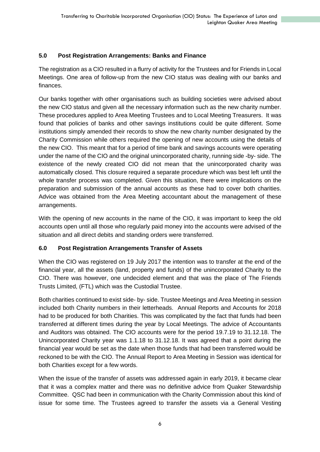# **5.0 Post Registration Arrangements: Banks and Finance**

The registration as a CIO resulted in a flurry of activity for the Trustees and for Friends in Local Meetings. One area of follow-up from the new CIO status was dealing with our banks and finances.

Our banks together with other organisations such as building societies were advised about the new CIO status and given all the necessary information such as the new charity number. These procedures applied to Area Meeting Trustees and to Local Meeting Treasurers. It was found that policies of banks and other savings institutions could be quite different. Some institutions simply amended their records to show the new charity number designated by the Charity Commission while others required the opening of new accounts using the details of the new CIO. This meant that for a period of time bank and savings accounts were operating under the name of the CIO and the original unincorporated charity, running side -by- side. The existence of the newly created CIO did not mean that the unincorporated charity was automatically closed. This closure required a separate procedure which was best left until the whole transfer process was completed. Given this situation, there were implications on the preparation and submission of the annual accounts as these had to cover both charities. Advice was obtained from the Area Meeting accountant about the management of these arrangements.

With the opening of new accounts in the name of the CIO, it was important to keep the old accounts open until all those who regularly paid money into the accounts were advised of the situation and all direct debits and standing orders were transferred.

### **6.0 Post Registration Arrangements Transfer of Assets**

When the CIO was registered on 19 July 2017 the intention was to transfer at the end of the financial year, all the assets (land, property and funds) of the unincorporated Charity to the CIO. There was however, one undecided element and that was the place of The Friends Trusts Limited, (FTL) which was the Custodial Trustee.

Both charities continued to exist side- by- side. Trustee Meetings and Area Meeting in session included both Charity numbers in their letterheads. Annual Reports and Accounts for 2018 had to be produced for both Charities. This was complicated by the fact that funds had been transferred at different times during the year by Local Meetings. The advice of Accountants and Auditors was obtained. The CIO accounts were for the period 19.7.19 to 31.12.18. The Unincorporated Charity year was 1.1.18 to 31.12.18. It was agreed that a point during the financial year would be set as the date when those funds that had been transferred would be reckoned to be with the CIO. The Annual Report to Area Meeting in Session was identical for both Charities except for a few words.

When the issue of the transfer of assets was addressed again in early 2019, it became clear that it was a complex matter and there was no definitive advice from Quaker Stewardship Committee. QSC had been in communication with the Charity Commission about this kind of issue for some time. The Trustees agreed to transfer the assets via a General Vesting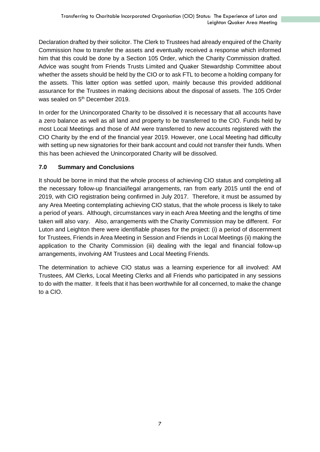Declaration drafted by their solicitor. The Clerk to Trustees had already enquired of the Charity Commission how to transfer the assets and eventually received a response which informed him that this could be done by a Section 105 Order, which the Charity Commission drafted. Advice was sought from Friends Trusts Limited and Quaker Stewardship Committee about whether the assets should be held by the CIO or to ask FTL to become a holding company for the assets. This latter option was settled upon, mainly because this provided additional assurance for the Trustees in making decisions about the disposal of assets. The 105 Order was sealed on 5<sup>th</sup> December 2019.

In order for the Unincorporated Charity to be dissolved it is necessary that all accounts have a zero balance as well as all land and property to be transferred to the CIO. Funds held by most Local Meetings and those of AM were transferred to new accounts registered with the CIO Charity by the end of the financial year 2019. However, one Local Meeting had difficulty with setting up new signatories for their bank account and could not transfer their funds. When this has been achieved the Unincorporated Charity will be dissolved.

# **7.0 Summary and Conclusions**

It should be borne in mind that the whole process of achieving CIO status and completing all the necessary follow-up financial/legal arrangements, ran from early 2015 until the end of 2019, with CIO registration being confirmed in July 2017. Therefore, it must be assumed by any Area Meeting contemplating achieving CIO status, that the whole process is likely to take a period of years. Although, circumstances vary in each Area Meeting and the lengths of time taken will also vary. Also, arrangements with the Charity Commission may be different. For Luton and Leighton there were identifiable phases for the project: (i) a period of discernment for Trustees, Friends in Area Meeting in Session and Friends in Local Meetings (ii) making the application to the Charity Commission (iii) dealing with the legal and financial follow-up arrangements, involving AM Trustees and Local Meeting Friends.

The determination to achieve CIO status was a learning experience for all involved: AM Trustees, AM Clerks, Local Meeting Clerks and all Friends who participated in any sessions to do with the matter. It feels that it has been worthwhile for all concerned, to make the change to a CIO.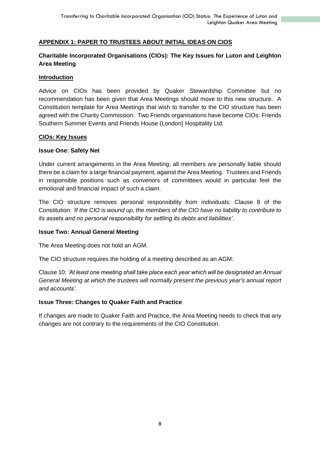#### **APPENDIX 1: PAPER TO TRUSTEES ABOUT INITIAL IDEAS ON CIOS**

# **Charitable Incorporated Organisations (CIOs): The Key Issues for Luton and Leighton Area Meeting**

#### **Introduction**

Advice on CIOs has been provided by Quaker Stewardship Committee but no recommendation has been given that Area Meetings should move to this new structure. A Constitution template for Area Meetings that wish to transfer to the CIO structure has been agreed with the Charity Commission. Two Friends organisations have become CIOs: Friends Southern Summer Events and Friends House (London) Hospitality Ltd.

#### **CIOs: Key Issues**

#### **Issue One: Safety Net**

Under current arrangements in the Area Meeting, all members are personally liable should there be a claim for a large financial payment, against the Area Meeting. Trustees and Friends in responsible positions such as convenors of committees would in particular feel the emotional and financial impact of such a claim.

The CIO structure removes personal responsibility from individuals: Clause 8 of the Constitution: *'If the CIO is wound up, the members of the CIO have no liability to contribute to its assets and no personal responsibility for settling its debts and liabilities'.*

#### **Issue Two: Annual General Meeting**

The Area Meeting does not hold an AGM.

The CIO structure requires the holding of a meeting described as an AGM:

Clause 10: *'At least one meeting shall take place each year which will be designated an Annual General Meeting at which the trustees will normally present the previous year's annual report and accounts'.*

#### **Issue Three: Changes to Quaker Faith and Practice**

If changes are made to Quaker Faith and Practice, the Area Meeting needs to check that any changes are not contrary to the requirements of the CIO Constitution.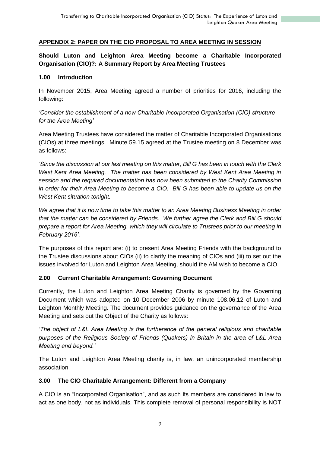#### **APPENDIX 2: PAPER ON THE CIO PROPOSAL TO AREA MEETING IN SESSION**

# **Should Luton and Leighton Area Meeting become a Charitable Incorporated Organisation (CIO)?: A Summary Report by Area Meeting Trustees**

#### **1.00 Introduction**

In November 2015, Area Meeting agreed a number of priorities for 2016, including the following:

*'Consider the establishment of a new Charitable Incorporated Organisation (CIO) structure for the Area Meeting'* 

Area Meeting Trustees have considered the matter of Charitable Incorporated Organisations (CIOs) at three meetings. Minute 59.15 agreed at the Trustee meeting on 8 December was as follows:

*'Since the discussion at our last meeting on this matter, Bill G has been in touch with the Clerk West Kent Area Meeting. The matter has been considered by West Kent Area Meeting in session and the required documentation has now been submitted to the Charity Commission in order for their Area Meeting to become a CIO. Bill G has been able to update us on the West Kent situation tonight.*

*We agree that it is now time to take this matter to an Area Meeting Business Meeting in order that the matter can be considered by Friends. We further agree the Clerk and Bill G should prepare a report for Area Meeting, which they will circulate to Trustees prior to our meeting in February 2016'.*

The purposes of this report are: (i) to present Area Meeting Friends with the background to the Trustee discussions about CIOs (ii) to clarify the meaning of CIOs and (iii) to set out the issues involved for Luton and Leighton Area Meeting, should the AM wish to become a CIO.

### **2.00 Current Charitable Arrangement: Governing Document**

Currently, the Luton and Leighton Area Meeting Charity is governed by the Governing Document which was adopted on 10 December 2006 by minute 108.06.12 of Luton and Leighton Monthly Meeting. The document provides guidance on the governance of the Area Meeting and sets out the Object of the Charity as follows:

*'The object of L&L Area Meeting is the furtherance of the general religious and charitable purposes of the Religious Society of Friends (Quakers) in Britain in the area of L&L Area Meeting and beyond.'*

The Luton and Leighton Area Meeting charity is, in law, an unincorporated membership association.

### **3.00 The CIO Charitable Arrangement: Different from a Company**

A CIO is an "Incorporated Organisation", and as such its members are considered in law to act as one body, not as individuals. This complete removal of personal responsibility is NOT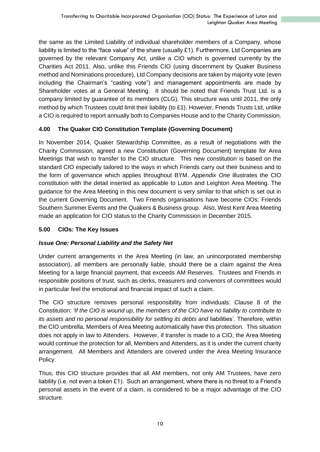the same as the Limited Liability of individual shareholder members of a Company, whose liability is limited to the "face value" of the share (usually £1). Furthermore, Ltd Companies are governed by the relevant Company Act, unlike a CIO which is governed currently by the Charities Act 2011. Also, unlike this Friends CIO (using discernment by Quaker Business method and Nominations procedure), Ltd Company decisions are taken by majority vote (even including the Chairman's "casting vote") and management appointments are made by Shareholder votes at a General Meeting. It should be noted that Friends Trust Ltd. is a company limited by guarantee of its members (CLG). This structure was until 2011, the only method by which Trustees could limit their liability (to £1). However, Friends Trusts Ltd, unlike a CIO is required to report annually both to Companies House and to the Charity Commission.

# **4.00 The Quaker CIO Constitution Template (Governing Document)**

In November 2014, Quaker Stewardship Committee, as a result of negotiations with the Charity Commission, agreed a new Constitution (Governing Document) template for Area Meetings that wish to transfer to the CIO structure. This new constitution is based on the standard CIO especially tailored to the ways in which Friends carry out their business and to the form of governance which applies throughout BYM. *Appendix One* illustrates the CIO constitution with the detail inserted as applicable to Luton and Leighton Area Meeting. The guidance for the Area Meeting in this new document is very similar to that which is set out in the current Governing Document. Two Friends organisations have become CIOs: Friends Southern Summer Events and the Quakers & Business group. Also, West Kent Area Meeting made an application for CIO status to the Charity Commission in December 2015.

# **5.00 CIOs: The Key Issues**

# *Issue One: Personal Liability and the Safety Net*

Under current arrangements in the Area Meeting (in law, an unincorporated membership association), all members are personally liable, should there be a claim against the Area Meeting for a large financial payment, that exceeds AM Reserves. Trustees and Friends in responsible positions of trust, such as clerks, treasurers and convenors of committees would in particular feel the emotional and financial impact of such a claim.

The CIO structure removes personal responsibility from individuals: Clause 8 of the Constitution: *'If the CIO is wound up, the members of the CIO have no liability to contribute to its assets and no personal responsibility for settling its debts and* liabilities'*.* Therefore, within the CIO umbrella, Members of Area Meeting automatically have this protection. This situation does not apply in law to Attenders. However, if transfer is made to a CIO, the Area Meeting would continue the protection for all, Members and Attenders, as it is under the current charity arrangement. All Members and Attenders are covered under the Area Meeting Insurance Policy.

Thus, this CIO structure provides that all AM members, not only AM Trustees, have zero liability (i.e. not even a token £1). Such an arrangement, where there is no threat to a Friend's personal assets in the event of a claim, is considered to be a major advantage of the CIO structure.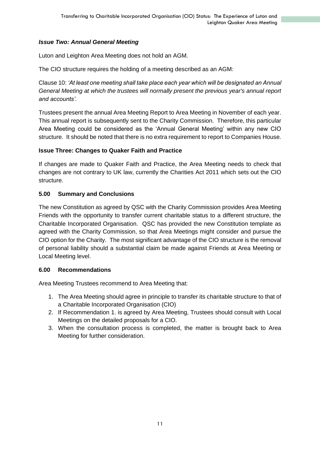# *Issue Two: Annual General Meeting*

Luton and Leighton Area Meeting does not hold an AGM.

The CIO structure requires the holding of a meeting described as an AGM:

Clause 10: *'At least one meeting shall take place each year which will be designated an Annual General Meeting at which the trustees will normally present the previous year's annual report and accounts'.*

Trustees present the annual Area Meeting Report to Area Meeting in November of each year. This annual report is subsequently sent to the Charity Commission. Therefore, this particular Area Meeting could be considered as the 'Annual General Meeting' within any new CIO structure. It should be noted that there is no extra requirement to report to Companies House.

# **Issue Three: Changes to Quaker Faith and Practice**

If changes are made to Quaker Faith and Practice, the Area Meeting needs to check that changes are not contrary to UK law, currently the Charities Act 2011 which sets out the CIO structure.

# **5.00 Summary and Conclusions**

The new Constitution as agreed by QSC with the Charity Commission provides Area Meeting Friends with the opportunity to transfer current charitable status to a different structure, the Charitable Incorporated Organisation. QSC has provided the new Constitution template as agreed with the Charity Commission, so that Area Meetings might consider and pursue the CIO option for the Charity. The most significant advantage of the CIO structure is the removal of personal liability should a substantial claim be made against Friends at Area Meeting or Local Meeting level.

### **6.00 Recommendations**

Area Meeting Trustees recommend to Area Meeting that:

- 1. The Area Meeting should agree in principle to transfer its charitable structure to that of a Charitable Incorporated Organisation (CIO)
- 2. If Recommendation 1. is agreed by Area Meeting, Trustees should consult with Local Meetings on the detailed proposals for a CIO.
- 3. When the consultation process is completed, the matter is brought back to Area Meeting for further consideration.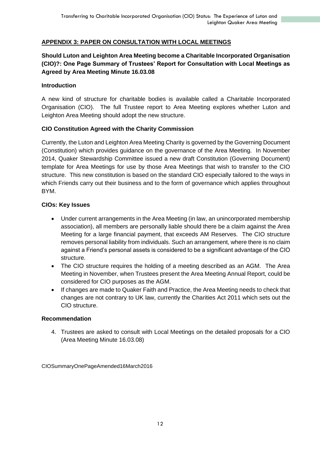## **APPENDIX 3: PAPER ON CONSULTATION WITH LOCAL MEETINGS**

# **Should Luton and Leighton Area Meeting become a Charitable Incorporated Organisation (CIO)?: One Page Summary of Trustees' Report for Consultation with Local Meetings as Agreed by Area Meeting Minute 16.03.08**

#### **Introduction**

A new kind of structure for charitable bodies is available called a Charitable Incorporated Organisation (CIO). The full Trustee report to Area Meeting explores whether Luton and Leighton Area Meeting should adopt the new structure.

### **CIO Constitution Agreed with the Charity Commission**

Currently, the Luton and Leighton Area Meeting Charity is governed by the Governing Document (Constitution) which provides guidance on the governance of the Area Meeting. In November 2014, Quaker Stewardship Committee issued a new draft Constitution (Governing Document) template for Area Meetings for use by those Area Meetings that wish to transfer to the CIO structure. This new constitution is based on the standard CIO especially tailored to the ways in which Friends carry out their business and to the form of governance which applies throughout BYM.

#### **CIOs: Key Issues**

- Under current arrangements in the Area Meeting (in law, an unincorporated membership association), all members are personally liable should there be a claim against the Area Meeting for a large financial payment, that exceeds AM Reserves. The CIO structure removes personal liability from individuals. Such an arrangement, where there is no claim against a Friend's personal assets is considered to be a significant advantage of the CIO structure.
- The CIO structure requires the holding of a meeting described as an AGM. The Area Meeting in November, when Trustees present the Area Meeting Annual Report, could be considered for CIO purposes as the AGM.
- If changes are made to Quaker Faith and Practice, the Area Meeting needs to check that changes are not contrary to UK law, currently the Charities Act 2011 which sets out the CIO structure.

#### **Recommendation**

4. Trustees are asked to consult with Local Meetings on the detailed proposals for a CIO (Area Meeting Minute 16.03.08)

CIOSummaryOnePageAmended16March2016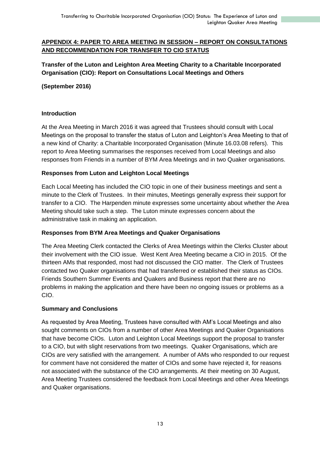# **APPENDIX 4: PAPER TO AREA MEETING IN SESSION – REPORT ON CONSULTATIONS AND RECOMMENDATION FOR TRANSFER TO CIO STATUS**

**Transfer of the Luton and Leighton Area Meeting Charity to a Charitable Incorporated Organisation (CIO): Report on Consultations Local Meetings and Others**

### **(September 2016)**

#### **Introduction**

At the Area Meeting in March 2016 it was agreed that Trustees should consult with Local Meetings on the proposal to transfer the status of Luton and Leighton's Area Meeting to that of a new kind of Charity: a Charitable Incorporated Organisation (Minute 16.03.08 refers). This report to Area Meeting summarises the responses received from Local Meetings and also responses from Friends in a number of BYM Area Meetings and in two Quaker organisations.

### **Responses from Luton and Leighton Local Meetings**

Each Local Meeting has included the CIO topic in one of their business meetings and sent a minute to the Clerk of Trustees. In their minutes, Meetings generally express their support for transfer to a CIO. The Harpenden minute expresses some uncertainty about whether the Area Meeting should take such a step. The Luton minute expresses concern about the administrative task in making an application.

### **Responses from BYM Area Meetings and Quaker Organisations**

The Area Meeting Clerk contacted the Clerks of Area Meetings within the Clerks Cluster about their involvement with the CIO issue. West Kent Area Meeting became a CIO in 2015. Of the thirteen AMs that responded, most had not discussed the CIO matter. The Clerk of Trustees contacted two Quaker organisations that had transferred or established their status as CIOs. Friends Southern Summer Events and Quakers and Business report that there are no problems in making the application and there have been no ongoing issues or problems as a CIO.

### **Summary and Conclusions**

As requested by Area Meeting, Trustees have consulted with AM's Local Meetings and also sought comments on CIOs from a number of other Area Meetings and Quaker Organisations that have become CIOs. Luton and Leighton Local Meetings support the proposal to transfer to a CIO, but with slight reservations from two meetings. Quaker Organisations, which are CIOs are very satisfied with the arrangement. A number of AMs who responded to our request for comment have not considered the matter of CIOs and some have rejected it, for reasons not associated with the substance of the CIO arrangements. At their meeting on 30 August, Area Meeting Trustees considered the feedback from Local Meetings and other Area Meetings and Quaker organisations.